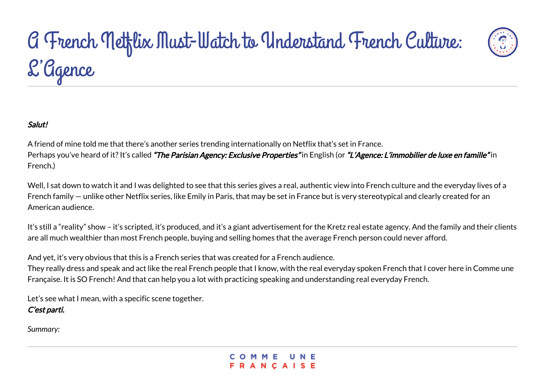

### Salut!

A friend of mine told me that there's another series trending internationally on Netflix that's set in France. Perhaps you've heard of it? It's called "The Parisian Agency: Exclusive Properties" in English (or "L'Agence: L'immobilier de luxe en famille" in French.)

Well, I sat down to watch it and I was delighted to see that this series gives a real, authentic view into French culture and the everyday lives of a French family — unlike other Netflix series, like Emily in Paris, that may be set in France but is very stereotypical and clearly created for an American audience.

It's still a "reality" show – it's scripted, it's produced, and it's a giant advertisement for the Kretz real estate agency. And the family and their clients are all much wealthier than most French people, buying and selling homes that the average French person could never afford.

And yet, it's very obvious that this is a French series that was created for a French audience.

They really dress and speak and act like the real French people that I know, with the real everyday spoken French that I cover here in Comme une Française. It is SO French! And that can help you a lot with practicing speaking and understanding real everyday French.

Let's see what I mean, with a specific scene together. C'est parti.

*Summary:*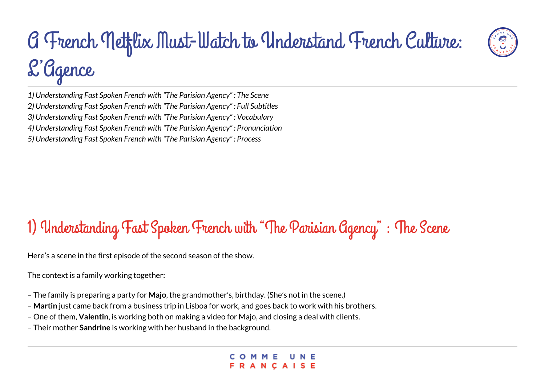

- *2) Understanding Fast Spoken French with "The Parisian Agency" : Full Subtitles*
- *3) Understanding Fast Spoken French with "The Parisian Agency" : Vocabulary*
- *4) Understanding Fast Spoken French with "The Parisian Agency" : Pronunciation*
- *5) Understanding Fast Spoken French with "The Parisian Agency" : Process*

### 1) Understanding Fast Spoken French with "The Parisian Agency" : The Scene

Here's a scene in the first episode of the second season of the show.

The context is a family working together:

- The family is preparing a party for **Majo**, the grandmother's, birthday. (She's not in the scene.)
- – **Martin** just came back from a business trip in Lisboa for work, and goes back to work with his brothers.
- One of them, **Valentin**, is working both on making a video for Majo, and closing a deal with clients.
- Their mother **Sandrine** is working with her husband in the background.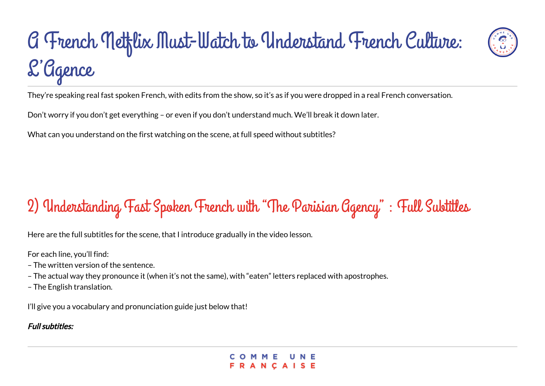

Don't worry if you don't get everything – or even if you don't understand much. We'll break it down later.

What can you understand on the first watching on the scene, at full speed without subtitles?

### 2) Understanding Fast Spoken French with "The Parisian Agency" : Full Subtitles

Here are the full subtitles for the scene, that I introduce gradually in the video lesson.

For each line, you'll find:

- The written version of the sentence.
- The actual way they pronounce it (when it's not the same), with "eaten" letters replaced with apostrophes.
- The English translation.

I'll give you a vocabulary and pronunciation guide just below that!

### Full subtitles: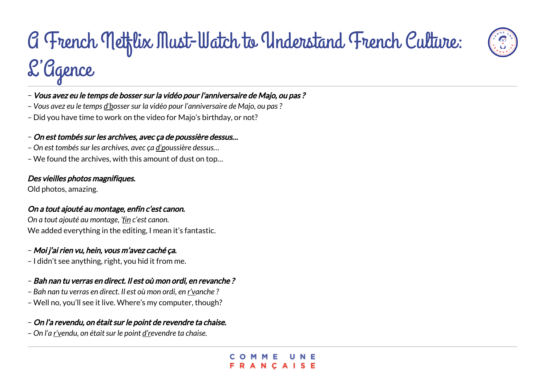

- *Vous avez eu le temps d'bosser sur la vidéo pour l'anniversaire de Majo, ou pas ?*
- Did you have time to work on the video for Majo's birthday, or not?

#### – On est tombés sur les archives, avec ça de poussière dessus…

- *On est tombés sur les archives, avec ça d'poussière dessus…*
- We found the archives, with this amount of dust on top…

#### Des vieilles photos magnifiques.

Old photos, amazing.

#### On a tout ajouté au montage, enfin c'est canon.

*On a tout ajouté au montage, 'fin c'est canon.* We added everything in the editing, I mean it's fantastic.

#### – Moi j'ai rien vu, hein, vous m'avez caché ça.

– I didn't see anything, right, you hid it from me.

#### – Bah nan tu verras en direct. Il est où mon ordi, en revanche ?

- *Bah nan tu verras en direct. Il est où mon ordi, en r'vanche ?*
- Well no, you'll see it live. Where's my computer, though?

#### – On l'a revendu, on était sur le point de revendre ta chaise.

– *On l'a r'vendu, on était sur le point d'revendre ta chaise.*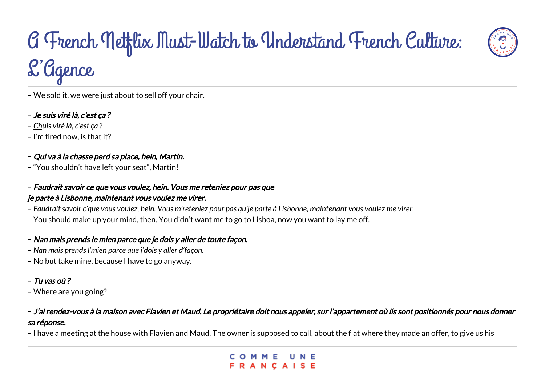- We sold it, we were just about to sell off your chair.
- Je suis viré là, c'est ça ?
- *Chuis viré là, c'est ça ?*
- I'm fired now, is that it?
- Qui va à la chasse perd sa place, hein, Martin.
- "You shouldn't have left your seat", Martin!
- Faudrait savoir ce que vous voulez, hein. Vous me reteniez pour pas que je parte à Lisbonne, maintenant vous voulez me virer.
- *Faudrait savoir c'que vous voulez, hein. Vous m'reteniez pour pas qu'je parte à Lisbonne, maintenant vous voulez me virer.*
- You should make up your mind, then. You didn't want me to go to Lisboa, now you want to lay me off.

### – Nan mais prends le mien parce que je dois y aller de toute façon.

- *Nan mais prends l'mien parce que j'dois y aller d'façon.*
- No but take mine, because I have to go anyway.

### – Tu vas où ?

– Where are you going?

### – J'ai rendez-vous à la maison avec Flavien et Maud. Le propriétaire doit nous appeler, sur l'appartement où ils sont positionnés pour nous donner sa réponse.

– I have a meeting at the house with Flavien and Maud. The owner is supposed to call, about the flat where they made an offer, to give us his

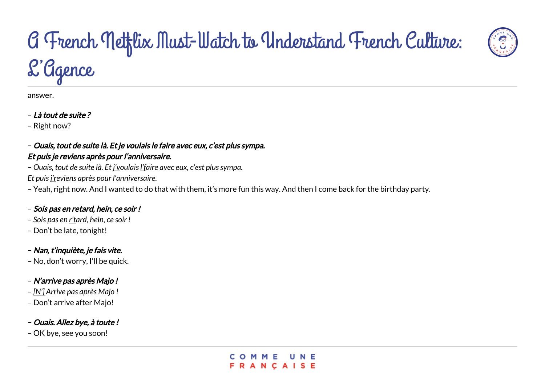answer.

– Là tout de suite ?

– Right now?

#### – Ouais, tout de suite là. Et je voulais le faire avec eux, c'est plus sympa. Et puis je reviens après pour l'anniversaire.

– *Ouais, tout de suite là. Et j'voulais l'faire avec eux, c'est plus sympa. Et puis j'reviens après pour l'anniversaire.*

– Yeah, right now. And I wanted to do that with them, it's more fun this way. And then I come back for the birthday party.

### – Sois pas en retard, hein, ce soir !

- *Sois pas en r'tard, hein, ce soir !*
- Don't be late, tonight!

### – Nan, t'inquiète, je fais vite.

– No, don't worry, I'll be quick.

### – N'arrive pas après Majo !

- *[N'] Arrive pas après Majo !*
- Don't arrive after Majo!

### – Ouais. Allez bye, à toute !

– OK bye, see you soon!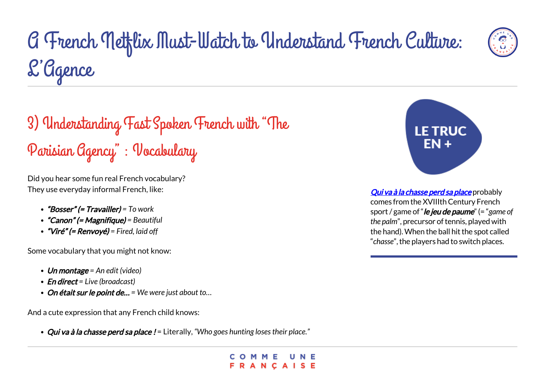

### 3) Understanding Fast Spoken French with "The Parisian Agency" : Vocabulary

Did you hear some fun real French vocabulary? They use everyday informal French, like:

- "Bosser" (= Travailler) *= To work*
- "Canon" (= Magnifique) *= Beautiful*
- "Viré" (= Renvoyé) *= Fired, laid off*

Some vocabulary that you might not know:

- Un montage *= An edit (video)*
- En direct *= Live (broadcast)*
- On était sur le point de… *= We were just about to…*

And a cute expression that any French child knows:

Qui va à la chasse perd sa place ! = Literally, *"Who goes hunting loses their place."*





[Qui va à la chasse perd sa place](https://fr.wiktionary.org/wiki/qui_va_%C3%A0_la_chasse_perd_sa_place) probably comes from the XVIIIth Century French sport / game of "le jeu de paume" (= "*game of the palm*", precursor of tennis, played with the hand). When the ball hit the spot called "*chasse*", the players had to switch places.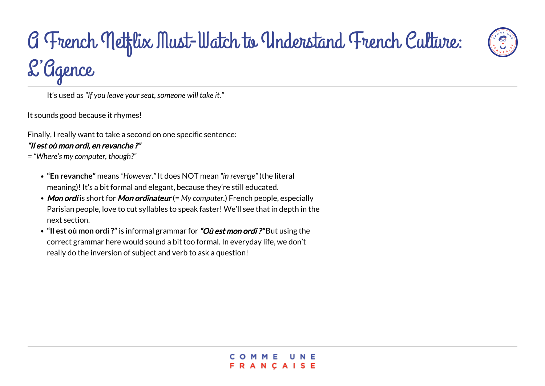It's used as *"If you leave your seat, someone will take it."*

It sounds good because it rhymes!

Finally, I really want to take a second on one specific sentence:

#### "Il est où mon ordi, en revanche ?"

- *= "Where's my computer, though?"*
	- **"En revanche"** means *"However."* It does NOT mean *"in revenge"* (the literal meaning)! It's a bit formal and elegant, because they're still educated.
	- Mon ordi is short for Mon ordinateur (= My computer.) French people, especially Parisian people, love to cut syllables to speak faster! We'll see that in depth in the next section.
	- **"Il est où mon ordi ?"** is informal grammar for "Où est mon ordi ?" But using the correct grammar here would sound a bit too formal. In everyday life, we don't really do the inversion of subject and verb to ask a question!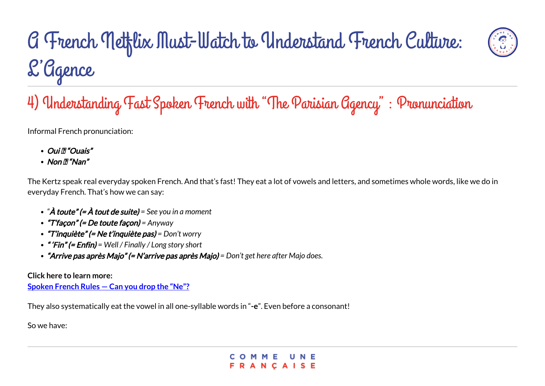

Informal French pronunciation:

- *Oui ™ Ouais*
- $\cdot$  Non  $\mathbb{Z}$  "Nan"

The Kertz speak real everyday spoken French. And that's fast! They eat a lot of vowels and letters, and sometimes whole words, like we do in everyday French. That's how we can say:

- *"*À toute" (= À tout de suite) *= See you in a moment*
- "T'façon" (= De toute façon) *= Anyway*
- "T'inquiète" (= Ne t'inquiète pas) *= Don't worry*
- " 'Fin" (= Enfin) *= Well / Finally / Long story short*
- "Arrive pas après Majo" (= N'arrive pas après Majo) *= Don't get here after Majo does.*

#### **Click here to learn more:**

**[Spoken French Rules — Can you drop the "Ne"?](https://www.commeunefrancaise.com/blog/spoken-french-ne)**

They also systematically eat the vowel in all one-syllable words in "**-e**". Even before a consonant!

So we have:

ANCAISE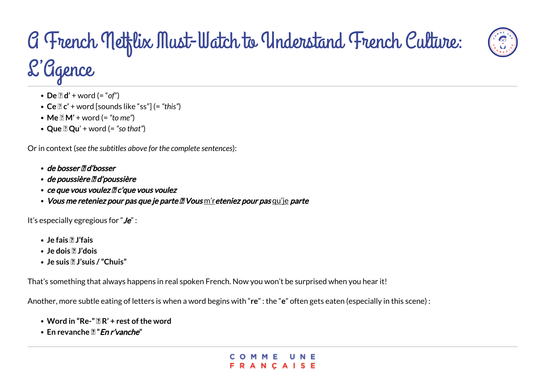

- **Ce** → **c'** + word [sounds like "ss"] (= *"this"*)
- **Me** → **M'** + word (= *"to me"*)
- **Que** → **Qu**' + word (= *"so that"*)

Or in context (*see the subtitles above for the complete sentences*):

- de bosser **<b>a** d'bosser
- de poussière **<b>a** d'poussière
- ce que vous voulez  $\mathbb Z$  c'que vous voulez
- Vous me reteniez pour pas que je parte <sup>n</sup> Vous m'r eteniez pour pas qu'je parte

It's especially egregious for " $Je$ ":

- **Je fais → J'fais**
- **Je dois → J'dois**
- Je suis **7** J'suis / "Chuis"

That's something that always happens in real spoken French. Now you won't be surprised when you hear it!

Another, more subtle eating of letters is when a word begins with "**re**" : the "**e**" often gets eaten (especially in this scene) :

- Word in "Re-" **R**' + rest of the word
- **En revanche → "**En r'vanche**"**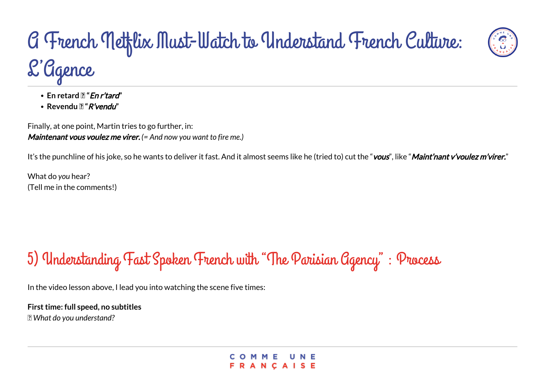

• Revendu **?** "*R'vendu*"

Finally, at one point, Martin tries to go further, in: Maintenant vous voulez me virer. *(= And now you want to fire me.)*

It's the punchline of his joke, so he wants to deliver it fast. And it almost seems like he (tried to) cut the "vous", like "Maint'nant v'voulez m'virer."

What do *you* hear? (Tell me in the comments!)

### 5) Understanding Fast Spoken French with "The Parisian Agency" : Process

In the video lesson above, I lead you into watching the scene five times:

**First time: full speed, no subtitles** → *What do you understand?*

**NCAISE**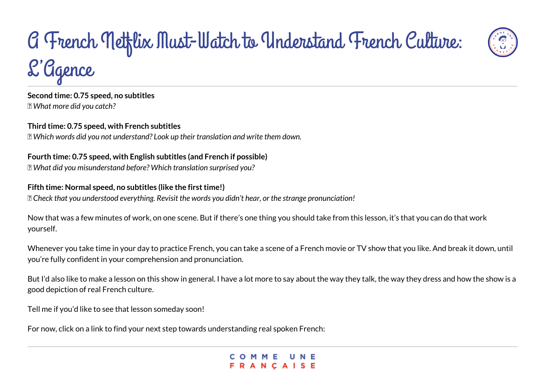

**Second time: 0.75 speed, no subtitles** → *What more did you catch?*

**Third time: 0.75 speed, with French subtitles** → *Which words did you not understand? Look up their translation and write them down.*

### **Fourth time: 0.75 speed, with English subtitles (and French if possible)**

→ *What did you misunderstand before? Which translation surprised you?*

#### **Fifth time: Normal speed, no subtitles (like the first time!)**

→ *Check that you understood everything. Revisit the words you didn't hear, or the strange pronunciation!*

Now that was a few minutes of work, on one scene. But if there's one thing you should take from this lesson, it's that you can do that work yourself.

Whenever you take time in your day to practice French, you can take a scene of a French movie or TV show that you like. And break it down, until you're fully confident in your comprehension and pronunciation.

But I'd also like to make a lesson on this show in general. I have a lot more to say about the way they talk, the way they dress and how the show is a good depiction of real French culture.

Tell me if you'd like to see that lesson someday soon!

For now, click on a link to find your next step towards understanding real spoken French:

**ANCAISE**